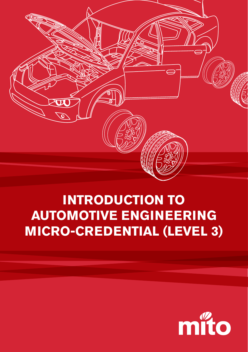

## **INTRODUCTION TO AUTOMOTIVE ENGINEERING MICRO-CREDENTIAL (LEVEL 3)**

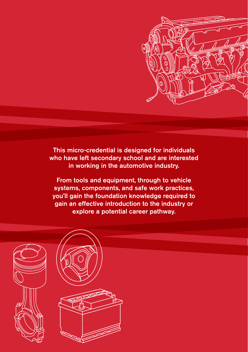

This micro-credential is designed for individuals who have left secondary school and are interested in working in the automotive industry.

From tools and equipment, through to vehicle systems, components, and safe work practices, you'll gain the foundation knowledge required to gain an effective introduction to the industry or explore a potential career pathway.

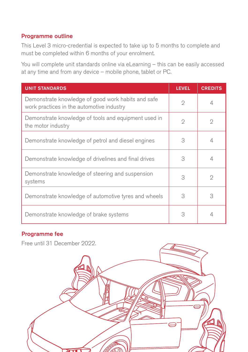## Programme outline

This Level 3 micro-credential is expected to take up to 5 months to complete and must be completed within 6 months of your enrolment.

You will complete unit standards online via eLearning – this can be easily accessed at any time and from any device – mobile phone, tablet or PC.

| <b>UNIT STANDARDS</b>                                                                           | <b>LEVEL</b>  | <b>CREDITS</b> |
|-------------------------------------------------------------------------------------------------|---------------|----------------|
| Demonstrate knowledge of good work habits and safe<br>work practices in the automotive industry | 2             | 4              |
| Demonstrate knowledge of tools and equipment used in<br>the motor industry                      | $\mathcal{D}$ | 2              |
| Demonstrate knowledge of petrol and diesel engines                                              | 3             |                |
| Demonstrate knowledge of drivelines and final drives                                            | 3             | 4              |
| Demonstrate knowledge of steering and suspension<br>systems                                     | 3             | $\mathcal{D}$  |
| Demonstrate knowledge of automotive tyres and wheels                                            | 3             | 3              |
| Demonstrate knowledge of brake systems                                                          | 3             | 4              |

## Programme fee

Free until 31 December 2022.